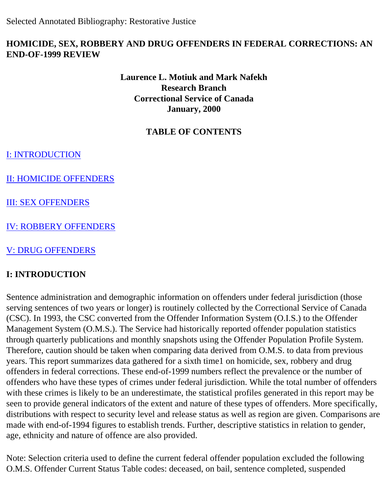Selected Annotated Bibliography: Restorative Justice

#### **HOMICIDE, SEX, ROBBERY AND DRUG OFFENDERS IN FEDERAL CORRECTIONS: AN END-OF-1999 REVIEW**

### **Laurence L. Motiuk and Mark Nafekh Research Branch Correctional Service of Canada January, 2000**

### **TABLE OF CONTENTS**

[I: INTRODUCTION](#page-0-0) 

[II: HOMICIDE OFFENDERS](#page-1-0)

[III: SEX OFFENDERS](#page-3-0)

[IV: ROBBERY OFFENDERS](#page-6-0) 

[V: DRUG OFFENDERS](#page-8-0) 

### <span id="page-0-0"></span>**I: INTRODUCTION**

Sentence administration and demographic information on offenders under federal jurisdiction (those serving sentences of two years or longer) is routinely collected by the Correctional Service of Canada (CSC). In 1993, the CSC converted from the Offender Information System (O.I.S.) to the Offender Management System (O.M.S.). The Service had historically reported offender population statistics through quarterly publications and monthly snapshots using the Offender Population Profile System. Therefore, caution should be taken when comparing data derived from O.M.S. to data from previous years. This report summarizes data gathered for a sixth time1 on homicide, sex, robbery and drug offenders in federal corrections. These end-of-1999 numbers reflect the prevalence or the number of offenders who have these types of crimes under federal jurisdiction. While the total number of offenders with these crimes is likely to be an underestimate, the statistical profiles generated in this report may be seen to provide general indicators of the extent and nature of these types of offenders. More specifically, distributions with respect to security level and release status as well as region are given. Comparisons are made with end-of-1994 figures to establish trends. Further, descriptive statistics in relation to gender, age, ethnicity and nature of offence are also provided.

Note: Selection criteria used to define the current federal offender population excluded the following O.M.S. Offender Current Status Table codes: deceased, on bail, sentence completed, suspended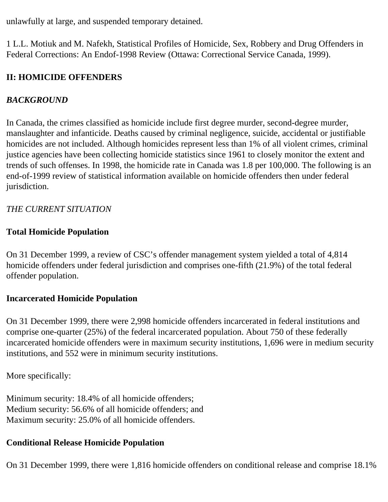unlawfully at large, and suspended temporary detained.

1 L.L. Motiuk and M. Nafekh, Statistical Profiles of Homicide, Sex, Robbery and Drug Offenders in Federal Corrections: An Endof-1998 Review (Ottawa: Correctional Service Canada, 1999).

### <span id="page-1-0"></span>**II: HOMICIDE OFFENDERS**

### *BACKGROUND*

In Canada, the crimes classified as homicide include first degree murder, second-degree murder, manslaughter and infanticide. Deaths caused by criminal negligence, suicide, accidental or justifiable homicides are not included. Although homicides represent less than 1% of all violent crimes, criminal justice agencies have been collecting homicide statistics since 1961 to closely monitor the extent and trends of such offenses. In 1998, the homicide rate in Canada was 1.8 per 100,000. The following is an end-of-1999 review of statistical information available on homicide offenders then under federal jurisdiction.

#### *THE CURRENT SITUATION*

#### **Total Homicide Population**

On 31 December 1999, a review of CSC's offender management system yielded a total of 4,814 homicide offenders under federal jurisdiction and comprises one-fifth (21.9%) of the total federal offender population.

#### **Incarcerated Homicide Population**

On 31 December 1999, there were 2,998 homicide offenders incarcerated in federal institutions and comprise one-quarter (25%) of the federal incarcerated population. About 750 of these federally incarcerated homicide offenders were in maximum security institutions, 1,696 were in medium security institutions, and 552 were in minimum security institutions.

More specifically:

Minimum security: 18.4% of all homicide offenders; Medium security: 56.6% of all homicide offenders; and Maximum security: 25.0% of all homicide offenders.

## **Conditional Release Homicide Population**

On 31 December 1999, there were 1,816 homicide offenders on conditional release and comprise 18.1%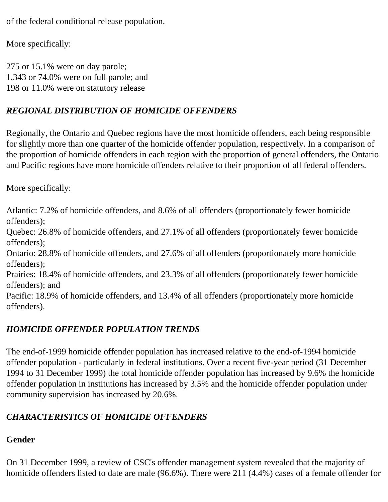of the federal conditional release population.

More specifically:

275 or 15.1% were on day parole; 1,343 or 74.0% were on full parole; and 198 or 11.0% were on statutory release

# *REGIONAL DISTRIBUTION OF HOMICIDE OFFENDERS*

Regionally, the Ontario and Quebec regions have the most homicide offenders, each being responsible for slightly more than one quarter of the homicide offender population, respectively. In a comparison of the proportion of homicide offenders in each region with the proportion of general offenders, the Ontario and Pacific regions have more homicide offenders relative to their proportion of all federal offenders.

More specifically:

Atlantic: 7.2% of homicide offenders, and 8.6% of all offenders (proportionately fewer homicide offenders);

Quebec: 26.8% of homicide offenders, and 27.1% of all offenders (proportionately fewer homicide offenders);

Ontario: 28.8% of homicide offenders, and 27.6% of all offenders (proportionately more homicide offenders);

Prairies: 18.4% of homicide offenders, and 23.3% of all offenders (proportionately fewer homicide offenders); and

Pacific: 18.9% of homicide offenders, and 13.4% of all offenders (proportionately more homicide offenders).

## *HOMICIDE OFFENDER POPULATION TRENDS*

The end-of-1999 homicide offender population has increased relative to the end-of-1994 homicide offender population - particularly in federal institutions. Over a recent five-year period (31 December 1994 to 31 December 1999) the total homicide offender population has increased by 9.6% the homicide offender population in institutions has increased by 3.5% and the homicide offender population under community supervision has increased by 20.6%.

## *CHARACTERISTICS OF HOMICIDE OFFENDERS*

### **Gender**

On 31 December 1999, a review of CSC's offender management system revealed that the majority of homicide offenders listed to date are male (96.6%). There were 211 (4.4%) cases of a female offender for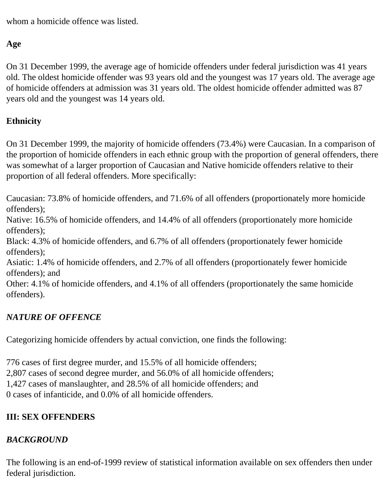whom a homicide offence was listed.

# **Age**

On 31 December 1999, the average age of homicide offenders under federal jurisdiction was 41 years old. The oldest homicide offender was 93 years old and the youngest was 17 years old. The average age of homicide offenders at admission was 31 years old. The oldest homicide offender admitted was 87 years old and the youngest was 14 years old.

# **Ethnicity**

On 31 December 1999, the majority of homicide offenders (73.4%) were Caucasian. In a comparison of the proportion of homicide offenders in each ethnic group with the proportion of general offenders, there was somewhat of a larger proportion of Caucasian and Native homicide offenders relative to their proportion of all federal offenders. More specifically:

Caucasian: 73.8% of homicide offenders, and 71.6% of all offenders (proportionately more homicide offenders);

Native: 16.5% of homicide offenders, and 14.4% of all offenders (proportionately more homicide offenders);

Black: 4.3% of homicide offenders, and 6.7% of all offenders (proportionately fewer homicide offenders);

Asiatic: 1.4% of homicide offenders, and 2.7% of all offenders (proportionately fewer homicide offenders); and

Other: 4.1% of homicide offenders, and 4.1% of all offenders (proportionately the same homicide offenders).

# *NATURE OF OFFENCE*

Categorizing homicide offenders by actual conviction, one finds the following:

776 cases of first degree murder, and 15.5% of all homicide offenders; 2,807 cases of second degree murder, and 56.0% of all homicide offenders; 1,427 cases of manslaughter, and 28.5% of all homicide offenders; and 0 cases of infanticide, and 0.0% of all homicide offenders.

# <span id="page-3-0"></span>**III: SEX OFFENDERS**

## *BACKGROUND*

The following is an end-of-1999 review of statistical information available on sex offenders then under federal jurisdiction.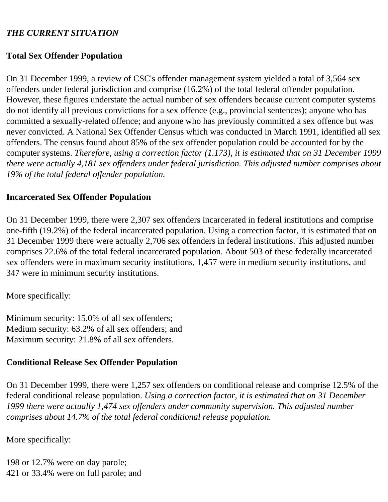#### *THE CURRENT SITUATION*

#### **Total Sex Offender Population**

On 31 December 1999, a review of CSC's offender management system yielded a total of 3,564 sex offenders under federal jurisdiction and comprise (16.2%) of the total federal offender population. However, these figures understate the actual number of sex offenders because current computer systems do not identify all previous convictions for a sex offence (e.g., provincial sentences); anyone who has committed a sexually-related offence; and anyone who has previously committed a sex offence but was never convicted. A National Sex Offender Census which was conducted in March 1991, identified all sex offenders. The census found about 85% of the sex offender population could be accounted for by the computer systems. *Therefore, using a correction factor (1.173), it is estimated that on 31 December 1999 there were actually 4,181 sex offenders under federal jurisdiction. This adjusted number comprises about 19% of the total federal offender population.* 

#### **Incarcerated Sex Offender Population**

On 31 December 1999, there were 2,307 sex offenders incarcerated in federal institutions and comprise one-fifth (19.2%) of the federal incarcerated population. Using a correction factor, it is estimated that on 31 December 1999 there were actually 2,706 sex offenders in federal institutions. This adjusted number comprises 22.6% of the total federal incarcerated population. About 503 of these federally incarcerated sex offenders were in maximum security institutions, 1,457 were in medium security institutions, and 347 were in minimum security institutions.

More specifically:

Minimum security: 15.0% of all sex offenders; Medium security: 63.2% of all sex offenders; and Maximum security: 21.8% of all sex offenders.

#### **Conditional Release Sex Offender Population**

On 31 December 1999, there were 1,257 sex offenders on conditional release and comprise 12.5% of the federal conditional release population. *Using a correction factor, it is estimated that on 31 December 1999 there were actually 1,474 sex offenders under community supervision. This adjusted number comprises about 14.7% of the total federal conditional release population.* 

More specifically:

198 or 12.7% were on day parole; 421 or 33.4% were on full parole; and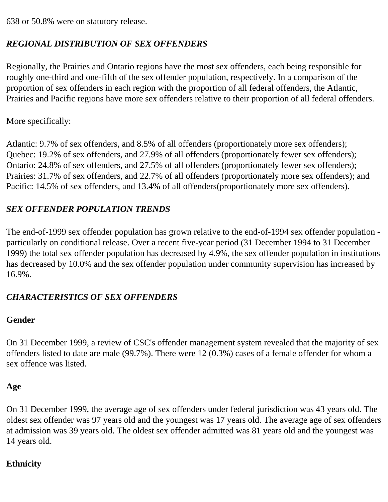638 or 50.8% were on statutory release.

#### *REGIONAL DISTRIBUTION OF SEX OFFENDERS*

Regionally, the Prairies and Ontario regions have the most sex offenders, each being responsible for roughly one-third and one-fifth of the sex offender population, respectively. In a comparison of the proportion of sex offenders in each region with the proportion of all federal offenders, the Atlantic, Prairies and Pacific regions have more sex offenders relative to their proportion of all federal offenders.

More specifically:

Atlantic: 9.7% of sex offenders, and 8.5% of all offenders (proportionately more sex offenders); Quebec: 19.2% of sex offenders, and 27.9% of all offenders (proportionately fewer sex offenders); Ontario: 24.8% of sex offenders, and 27.5% of all offenders (proportionately fewer sex offenders); Prairies: 31.7% of sex offenders, and 22.7% of all offenders (proportionately more sex offenders); and Pacific: 14.5% of sex offenders, and 13.4% of all offenders(proportionately more sex offenders).

### *SEX OFFENDER POPULATION TRENDS*

The end-of-1999 sex offender population has grown relative to the end-of-1994 sex offender population particularly on conditional release. Over a recent five-year period (31 December 1994 to 31 December 1999) the total sex offender population has decreased by 4.9%, the sex offender population in institutions has decreased by 10.0% and the sex offender population under community supervision has increased by 16.9%.

### *CHARACTERISTICS OF SEX OFFENDERS*

### **Gender**

On 31 December 1999, a review of CSC's offender management system revealed that the majority of sex offenders listed to date are male (99.7%). There were 12 (0.3%) cases of a female offender for whom a sex offence was listed.

### **Age**

On 31 December 1999, the average age of sex offenders under federal jurisdiction was 43 years old. The oldest sex offender was 97 years old and the youngest was 17 years old. The average age of sex offenders at admission was 39 years old. The oldest sex offender admitted was 81 years old and the youngest was 14 years old.

### **Ethnicity**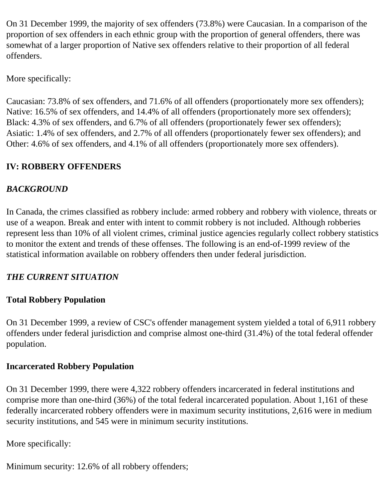On 31 December 1999, the majority of sex offenders (73.8%) were Caucasian. In a comparison of the proportion of sex offenders in each ethnic group with the proportion of general offenders, there was somewhat of a larger proportion of Native sex offenders relative to their proportion of all federal offenders.

More specifically:

Caucasian: 73.8% of sex offenders, and 71.6% of all offenders (proportionately more sex offenders); Native: 16.5% of sex offenders, and 14.4% of all offenders (proportionately more sex offenders); Black: 4.3% of sex offenders, and 6.7% of all offenders (proportionately fewer sex offenders); Asiatic: 1.4% of sex offenders, and 2.7% of all offenders (proportionately fewer sex offenders); and Other: 4.6% of sex offenders, and 4.1% of all offenders (proportionately more sex offenders).

## <span id="page-6-0"></span>**IV: ROBBERY OFFENDERS**

### *BACKGROUND*

In Canada, the crimes classified as robbery include: armed robbery and robbery with violence, threats or use of a weapon. Break and enter with intent to commit robbery is not included. Although robberies represent less than 10% of all violent crimes, criminal justice agencies regularly collect robbery statistics to monitor the extent and trends of these offenses. The following is an end-of-1999 review of the statistical information available on robbery offenders then under federal jurisdiction.

## *THE CURRENT SITUATION*

### **Total Robbery Population**

On 31 December 1999, a review of CSC's offender management system yielded a total of 6,911 robbery offenders under federal jurisdiction and comprise almost one-third (31.4%) of the total federal offender population.

### **Incarcerated Robbery Population**

On 31 December 1999, there were 4,322 robbery offenders incarcerated in federal institutions and comprise more than one-third (36%) of the total federal incarcerated population. About 1,161 of these federally incarcerated robbery offenders were in maximum security institutions, 2,616 were in medium security institutions, and 545 were in minimum security institutions.

More specifically:

Minimum security: 12.6% of all robbery offenders;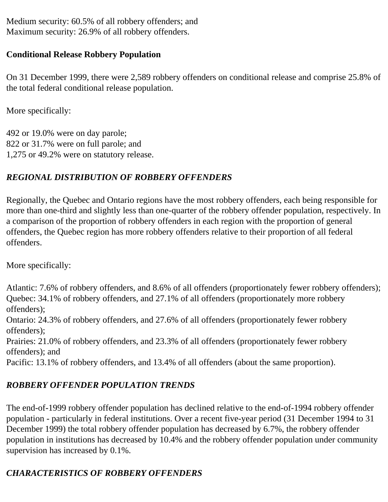Medium security: 60.5% of all robbery offenders; and Maximum security: 26.9% of all robbery offenders.

### **Conditional Release Robbery Population**

On 31 December 1999, there were 2,589 robbery offenders on conditional release and comprise 25.8% of the total federal conditional release population.

More specifically:

492 or 19.0% were on day parole; 822 or 31.7% were on full parole; and 1,275 or 49.2% were on statutory release.

### *REGIONAL DISTRIBUTION OF ROBBERY OFFENDERS*

Regionally, the Quebec and Ontario regions have the most robbery offenders, each being responsible for more than one-third and slightly less than one-quarter of the robbery offender population, respectively. In a comparison of the proportion of robbery offenders in each region with the proportion of general offenders, the Quebec region has more robbery offenders relative to their proportion of all federal offenders.

More specifically:

Atlantic: 7.6% of robbery offenders, and 8.6% of all offenders (proportionately fewer robbery offenders); Quebec: 34.1% of robbery offenders, and 27.1% of all offenders (proportionately more robbery offenders);

Ontario: 24.3% of robbery offenders, and 27.6% of all offenders (proportionately fewer robbery offenders);

Prairies: 21.0% of robbery offenders, and 23.3% of all offenders (proportionately fewer robbery offenders); and

Pacific: 13.1% of robbery offenders, and 13.4% of all offenders (about the same proportion).

## *ROBBERY OFFENDER POPULATION TRENDS*

The end-of-1999 robbery offender population has declined relative to the end-of-1994 robbery offender population - particularly in federal institutions. Over a recent five-year period (31 December 1994 to 31 December 1999) the total robbery offender population has decreased by 6.7%, the robbery offender population in institutions has decreased by 10.4% and the robbery offender population under community supervision has increased by 0.1%.

# *CHARACTERISTICS OF ROBBERY OFFENDERS*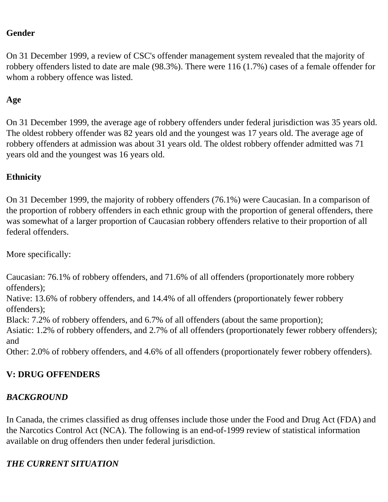#### **Gender**

On 31 December 1999, a review of CSC's offender management system revealed that the majority of robbery offenders listed to date are male (98.3%). There were 116 (1.7%) cases of a female offender for whom a robbery offence was listed.

### **Age**

On 31 December 1999, the average age of robbery offenders under federal jurisdiction was 35 years old. The oldest robbery offender was 82 years old and the youngest was 17 years old. The average age of robbery offenders at admission was about 31 years old. The oldest robbery offender admitted was 71 years old and the youngest was 16 years old.

### **Ethnicity**

On 31 December 1999, the majority of robbery offenders (76.1%) were Caucasian. In a comparison of the proportion of robbery offenders in each ethnic group with the proportion of general offenders, there was somewhat of a larger proportion of Caucasian robbery offenders relative to their proportion of all federal offenders.

More specifically:

Caucasian: 76.1% of robbery offenders, and 71.6% of all offenders (proportionately more robbery offenders);

Native: 13.6% of robbery offenders, and 14.4% of all offenders (proportionately fewer robbery offenders);

Black: 7.2% of robbery offenders, and 6.7% of all offenders (about the same proportion);

Asiatic: 1.2% of robbery offenders, and 2.7% of all offenders (proportionately fewer robbery offenders); and

Other: 2.0% of robbery offenders, and 4.6% of all offenders (proportionately fewer robbery offenders).

### <span id="page-8-0"></span>**V: DRUG OFFENDERS**

## *BACKGROUND*

In Canada, the crimes classified as drug offenses include those under the Food and Drug Act (FDA) and the Narcotics Control Act (NCA). The following is an end-of-1999 review of statistical information available on drug offenders then under federal jurisdiction.

### *THE CURRENT SITUATION*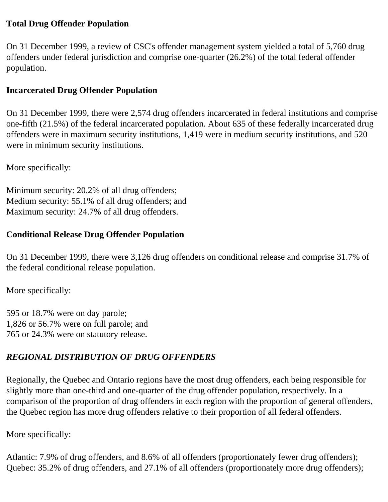### **Total Drug Offender Population**

On 31 December 1999, a review of CSC's offender management system yielded a total of 5,760 drug offenders under federal jurisdiction and comprise one-quarter (26.2%) of the total federal offender population.

### **Incarcerated Drug Offender Population**

On 31 December 1999, there were 2,574 drug offenders incarcerated in federal institutions and comprise one-fifth (21.5%) of the federal incarcerated population. About 635 of these federally incarcerated drug offenders were in maximum security institutions, 1,419 were in medium security institutions, and 520 were in minimum security institutions.

More specifically:

Minimum security: 20.2% of all drug offenders; Medium security: 55.1% of all drug offenders; and Maximum security: 24.7% of all drug offenders.

#### **Conditional Release Drug Offender Population**

On 31 December 1999, there were 3,126 drug offenders on conditional release and comprise 31.7% of the federal conditional release population.

More specifically:

595 or 18.7% were on day parole; 1,826 or 56.7% were on full parole; and 765 or 24.3% were on statutory release.

# *REGIONAL DISTRIBUTION OF DRUG OFFENDERS*

Regionally, the Quebec and Ontario regions have the most drug offenders, each being responsible for slightly more than one-third and one-quarter of the drug offender population, respectively. In a comparison of the proportion of drug offenders in each region with the proportion of general offenders, the Quebec region has more drug offenders relative to their proportion of all federal offenders.

More specifically:

Atlantic: 7.9% of drug offenders, and 8.6% of all offenders (proportionately fewer drug offenders); Quebec: 35.2% of drug offenders, and 27.1% of all offenders (proportionately more drug offenders);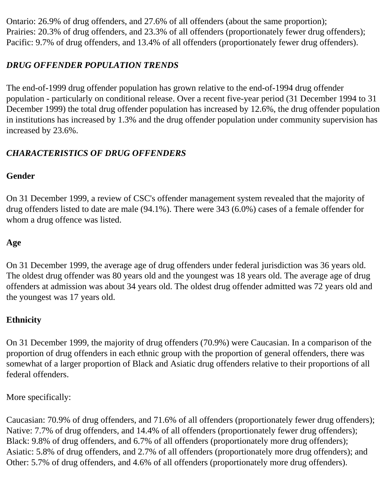Ontario: 26.9% of drug offenders, and 27.6% of all offenders (about the same proportion); Prairies: 20.3% of drug offenders, and 23.3% of all offenders (proportionately fewer drug offenders); Pacific: 9.7% of drug offenders, and 13.4% of all offenders (proportionately fewer drug offenders).

## *DRUG OFFENDER POPULATION TRENDS*

The end-of-1999 drug offender population has grown relative to the end-of-1994 drug offender population - particularly on conditional release. Over a recent five-year period (31 December 1994 to 31 December 1999) the total drug offender population has increased by 12.6%, the drug offender population in institutions has increased by 1.3% and the drug offender population under community supervision has increased by 23.6%.

# *CHARACTERISTICS OF DRUG OFFENDERS*

## **Gender**

On 31 December 1999, a review of CSC's offender management system revealed that the majority of drug offenders listed to date are male (94.1%). There were 343 (6.0%) cases of a female offender for whom a drug offence was listed.

# **Age**

On 31 December 1999, the average age of drug offenders under federal jurisdiction was 36 years old. The oldest drug offender was 80 years old and the youngest was 18 years old. The average age of drug offenders at admission was about 34 years old. The oldest drug offender admitted was 72 years old and the youngest was 17 years old.

# **Ethnicity**

On 31 December 1999, the majority of drug offenders (70.9%) were Caucasian. In a comparison of the proportion of drug offenders in each ethnic group with the proportion of general offenders, there was somewhat of a larger proportion of Black and Asiatic drug offenders relative to their proportions of all federal offenders.

More specifically:

Caucasian: 70.9% of drug offenders, and 71.6% of all offenders (proportionately fewer drug offenders); Native: 7.7% of drug offenders, and 14.4% of all offenders (proportionately fewer drug offenders); Black: 9.8% of drug offenders, and 6.7% of all offenders (proportionately more drug offenders); Asiatic: 5.8% of drug offenders, and 2.7% of all offenders (proportionately more drug offenders); and Other: 5.7% of drug offenders, and 4.6% of all offenders (proportionately more drug offenders).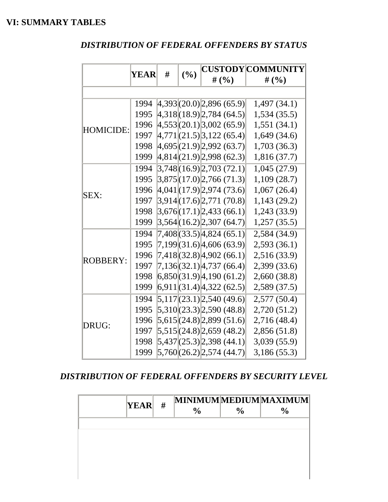#### **VI: SUMMARY TABLES**

### *DISTRIBUTION OF FEDERAL OFFENDERS BY STATUS*

|                 | YEAR | # |     |                                                                                   | <b>CUSTODY COMMUNITY</b> |
|-----------------|------|---|-----|-----------------------------------------------------------------------------------|--------------------------|
|                 |      |   | (%) | # $(\% )$                                                                         | # $(\% )$                |
|                 |      |   |     |                                                                                   |                          |
|                 | 1994 |   |     | 4,393(20.0) 2,896(65.9)                                                           | 1,497(34.1)              |
|                 | 1995 |   |     | 4,318  (18.9)  2,784 (64.5)                                                       | 1,534(35.5)              |
| HOMICIDE:       | 1996 |   |     | 4,553(20.1) 3,002(65.9)                                                           | 1,551(34.1)              |
|                 | 1997 |   |     | $\left[4,771\right]\left[21.5\right]\left[3,122\right]$ (65.4)                    | 1,649(34.6)              |
|                 | 1998 |   |     | $ 4,695 $ (21.9) 2,992 (63.7)                                                     | 1,703(36.3)              |
|                 | 1999 |   |     | 4,814(21.9) 2,998(62.3)                                                           | 1,816 (37.7)             |
|                 | 1994 |   |     | 3,748(16.9)2,703(72.1)                                                            | 1,045(27.9)              |
|                 | 1995 |   |     | 3,875  (17.0)   2,766 (71.3)                                                      | 1,109(28.7)              |
| SEX:            | 1996 |   |     | $ 4,041 $ (17.9) 2,974 (73.6)                                                     | 1,067(26.4)              |
|                 | 1997 |   |     | $ 3,914 $ (17.6) $ 2,771(70.8) $                                                  | 1,143(29.2)              |
|                 | 1998 |   |     | 3,676  (17.1)   2,433 (66.1)                                                      | 1,243 (33.9)             |
|                 | 1999 |   |     | 3,564(16.2)2,307(64.7)                                                            | 1,257(35.5)              |
|                 | 1994 |   |     | 7,408(33.5) 4,824 (65.1)                                                          | 2,584 (34.9)             |
|                 | 1995 |   |     | 7,199 (31.6) 4,606 (63.9)                                                         | 2,593(36.1)              |
| <b>ROBBERY:</b> | 1996 |   |     | 7,418 (32.8) 4,902 (66.1)                                                         | 2,516 (33.9)             |
|                 | 1997 |   |     | 7,136(32.1)4,737(66.4)                                                            | 2,399 (33.6)             |
|                 | 1998 |   |     | $ 6,850 $ $(31.9)$ $ 4,190$ $(61.2)$                                              | 2,660 (38.8)             |
|                 | 1999 |   |     | 6,911(31.4)4,322(62.5)                                                            | 2,589 (37.5)             |
|                 | 1994 |   |     | $ 5,117 $ (23.1) 2,540 (49.6)                                                     | 2,577(50.4)              |
|                 | 1995 |   |     | 5,310(23.3)2,590(48.8)                                                            | 2,720(51.2)              |
| <b>DRUG:</b>    | 1996 |   |     | $ 5,615 $ (24.8) 2,899 (51.6)                                                     | 2,716 (48.4)             |
|                 | 1997 |   |     | 5,515(24.8)2,659(48.2)                                                            | 2,856 (51.8)             |
|                 | 1998 |   |     | $\left[5,437\right]$ $\left(25.3\right)$ $\left[2,398\right]$ $\left(44.1\right)$ | 3,039 (55.9)             |
|                 | 1999 |   |     | 5,760(26.2)2,574(44.7)                                                            | 3,186 (55.3)             |

#### *DISTRIBUTION OF FEDERAL OFFENDERS BY SECURITY LEVEL*

| <b>YEAR</b> | # | $\frac{0}{0}$ | MINIMUMMEDIUMMAXIMUM<br>$\frac{0}{0}$ |
|-------------|---|---------------|---------------------------------------|
|             |   |               |                                       |
|             |   |               |                                       |
|             |   |               |                                       |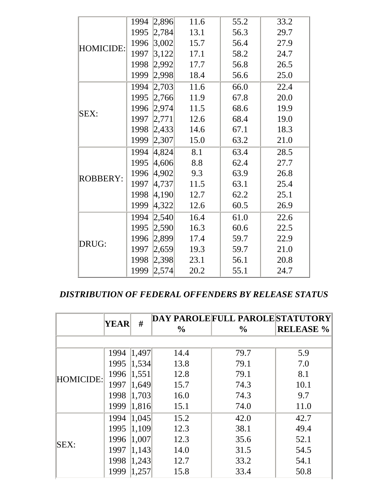|                 | 1994 | 2,896 | 11.6 | 55.2 | 33.2 |
|-----------------|------|-------|------|------|------|
| HOMICIDE:       | 1995 | 2,784 | 13.1 | 56.3 | 29.7 |
|                 | 1996 | 3,002 | 15.7 | 56.4 | 27.9 |
|                 | 1997 | 3,122 | 17.1 | 58.2 | 24.7 |
|                 | 1998 | 2,992 | 17.7 | 56.8 | 26.5 |
|                 | 1999 | 2,998 | 18.4 | 56.6 | 25.0 |
|                 | 1994 | 2,703 | 11.6 | 66.0 | 22.4 |
|                 | 1995 | 2,766 | 11.9 | 67.8 | 20.0 |
| SEX:            | 1996 | 2,974 | 11.5 | 68.6 | 19.9 |
|                 | 1997 | 2,771 | 12.6 | 68.4 | 19.0 |
|                 | 1998 | 2,433 | 14.6 | 67.1 | 18.3 |
|                 | 1999 | 2,307 | 15.0 | 63.2 | 21.0 |
|                 | 1994 | 4,824 | 8.1  | 63.4 | 28.5 |
|                 | 1995 | 4,606 | 8.8  | 62.4 | 27.7 |
| <b>ROBBERY:</b> | 1996 | 4,902 | 9.3  | 63.9 | 26.8 |
|                 | 1997 | 4,737 | 11.5 | 63.1 | 25.4 |
|                 | 1998 | 4,190 | 12.7 | 62.2 | 25.1 |
|                 | 1999 | 4,322 | 12.6 | 60.5 | 26.9 |
|                 | 1994 | 2,540 | 16.4 | 61.0 | 22.6 |
|                 | 1995 | 2,590 | 16.3 | 60.6 | 22.5 |
| DRUG:           | 1996 | 2,899 | 17.4 | 59.7 | 22.9 |
|                 | 1997 | 2,659 | 19.3 | 59.7 | 21.0 |
|                 | 1998 | 2,398 | 23.1 | 56.1 | 20.8 |
|                 | 1999 | 2,574 | 20.2 | 55.1 | 24.7 |

#### *DISTRIBUTION OF FEDERAL OFFENDERS BY RELEASE STATUS*

|           | YEAR | #     |               | DAY PAROLE FULL PAROLE STATUTORY |                  |
|-----------|------|-------|---------------|----------------------------------|------------------|
|           |      |       | $\frac{6}{6}$ | $\frac{6}{6}$                    | <b>RELEASE %</b> |
|           |      |       |               |                                  |                  |
|           | 1994 | 1,497 | 14.4          | 79.7                             | 5.9              |
|           | 1995 | 1,534 | 13.8          | 79.1                             | 7.0              |
| HOMICIDE: | 1996 | 1,551 | 12.8          | 79.1                             | 8.1              |
|           | 1997 | 1,649 | 15.7          | 74.3                             | 10.1             |
|           | 1998 | 1,703 | 16.0          | 74.3                             | 9.7              |
|           | 1999 | 1,816 | 15.1          | 74.0                             | 11.0             |
|           | 1994 | 1,045 | 15.2          | 42.0                             | 42.7             |
|           | 1995 | 1,109 | 12.3          | 38.1                             | 49.4             |
| SEX:      | 1996 | 1,007 | 12.3          | 35.6                             | 52.1             |
|           | 1997 | 1,143 | 14.0          | 31.5                             | 54.5             |
|           | 1998 | 1,243 | 12.7          | 33.2                             | 54.1             |
|           | 1999 | 1,257 | 15.8          | 33.4                             | 50.8             |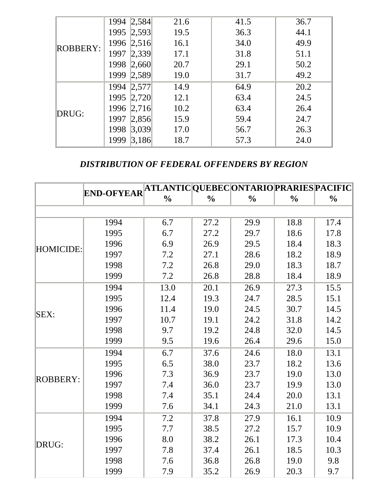| <b>ROBBERY:</b> | 1994 | 2,584      | 21.6 | 41.5 | 36.7 |
|-----------------|------|------------|------|------|------|
|                 | 1995 | 2,593      | 19.5 | 36.3 | 44.1 |
|                 |      | 1996 2,516 | 16.1 | 34.0 | 49.9 |
|                 | 1997 | 2,339      | 17.1 | 31.8 | 51.1 |
|                 | 1998 | 2,660      | 20.7 | 29.1 | 50.2 |
|                 | 1999 | 2,589      | 19.0 | 31.7 | 49.2 |
|                 | 1994 | 2,577      | 14.9 | 64.9 | 20.2 |
|                 | 1995 | 2,720      | 12.1 | 63.4 | 24.5 |
| DRUG:           |      | 1996 2,716 | 10.2 | 63.4 | 26.4 |
|                 | 1997 | 2,856      | 15.9 | 59.4 | 24.7 |
|                 | 1998 | 3,039      | 17.0 | 56.7 | 26.3 |
|                 | 1999 | 3,186      | 18.7 | 57.3 | 24.0 |

#### *DISTRIBUTION OF FEDERAL OFFENDERS BY REGION*

|                 |                   | ATLANTIC QUEBEC ONTARIO PRARIES PACIFIC |               |               |               |               |
|-----------------|-------------------|-----------------------------------------|---------------|---------------|---------------|---------------|
|                 | <b>END-OFYEAR</b> | $\frac{0}{0}$                           | $\frac{0}{0}$ | $\frac{0}{0}$ | $\frac{0}{0}$ | $\frac{0}{0}$ |
|                 |                   |                                         |               |               |               |               |
| HOMICIDE:       | 1994              | 6.7                                     | 27.2          | 29.9          | 18.8          | 17.4          |
|                 | 1995              | 6.7                                     | 27.2          | 29.7          | 18.6          | 17.8          |
|                 | 1996              | 6.9                                     | 26.9          | 29.5          | 18.4          | 18.3          |
|                 | 1997              | 7.2                                     | 27.1          | 28.6          | 18.2          | 18.9          |
|                 | 1998              | 7.2                                     | 26.8          | 29.0          | 18.3          | 18.7          |
|                 | 1999              | 7.2                                     | 26.8          | 28.8          | 18.4          | 18.9          |
|                 | 1994              | 13.0                                    | 20.1          | 26.9          | 27.3          | 15.5          |
|                 | 1995              | 12.4                                    | 19.3          | 24.7          | 28.5          | 15.1          |
|                 | 1996              | 11.4                                    | 19.0          | 24.5          | 30.7          | 14.5          |
| SEX:            | 1997              | 10.7                                    | 19.1          | 24.2          | 31.8          | 14.2          |
|                 | 1998              | 9.7                                     | 19.2          | 24.8          | 32.0          | 14.5          |
|                 | 1999              | 9.5                                     | 19.6          | 26.4          | 29.6          | 15.0          |
|                 | 1994              | 6.7                                     | 37.6          | 24.6          | 18.0          | 13.1          |
|                 | 1995              | 6.5                                     | 38.0          | 23.7          | 18.2          | 13.6          |
| <b>ROBBERY:</b> | 1996              | 7.3                                     | 36.9          | 23.7          | 19.0          | 13.0          |
|                 | 1997              | 7.4                                     | 36.0          | 23.7          | 19.9          | 13.0          |
|                 | 1998              | 7.4                                     | 35.1          | 24.4          | 20.0          | 13.1          |
|                 | 1999              | 7.6                                     | 34.1          | 24.3          | 21.0          | 13.1          |
|                 | 1994              | 7.2                                     | 37.8          | 27.9          | 16.1          | 10.9          |
|                 | 1995              | 7.7                                     | 38.5          | 27.2          | 15.7          | 10.9          |
| DRUG:           | 1996              | 8.0                                     | 38.2          | 26.1          | 17.3          | 10.4          |
|                 | 1997              | 7.8                                     | 37.4          | 26.1          | 18.5          | 10.3          |
|                 | 1998              | 7.6                                     | 36.8          | 26.8          | 19.0          | 9.8           |
|                 | 1999              | 7.9                                     | 35.2          | 26.9          | 20.3          | 9.7           |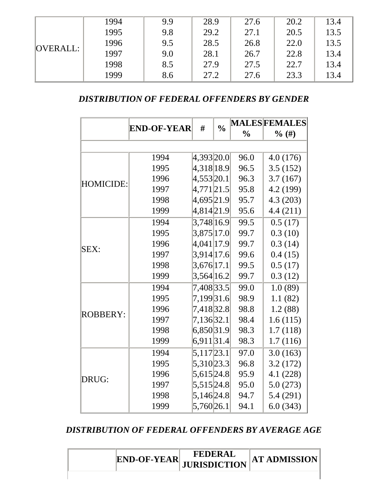|          | 1994 | 9.9 | 28.9 | 27.6 | 20.2 | 13.4 |
|----------|------|-----|------|------|------|------|
|          | 1995 | 9.8 | 29.2 | 27.1 | 20.5 | 13.5 |
|          | 1996 | 9.5 | 28.5 | 26.8 | 22.0 | 13.5 |
| OVERALL: | 1997 | 9.0 | 28.1 | 26.7 | 22.8 | 13.4 |
|          | 1998 | 8.5 | 27.9 | 27.5 | 22.7 | 13.4 |
|          | 1999 | 8.6 | 27.2 | 27.6 | 23.3 | 13.4 |

#### *DISTRIBUTION OF FEDERAL OFFENDERS BY GENDER*

|                  | <b>END-OF-YEAR</b> | #              | $\frac{0}{0}$ |               | <b>MALESFEMALES</b> |
|------------------|--------------------|----------------|---------------|---------------|---------------------|
|                  |                    |                |               | $\frac{0}{0}$ | % (#)               |
|                  |                    |                |               |               |                     |
|                  | 1994               | 4,393 20.0     |               | 96.0          | 4.0 (176)           |
|                  | 1995               | 4,318 18.9     |               | 96.5          | 3.5(152)            |
| <b>HOMICIDE:</b> | 1996               | 4,553 20.1     |               | 96.3          | 3.7(167)            |
|                  | 1997               | 4,771 21.5     |               | 95.8          | 4.2 (199)           |
|                  | 1998               | 4,695 21.9     |               | 95.7          | 4.3(203)            |
|                  | 1999               | 4,814 21.9     |               | 95.6          | 4.4(211)            |
|                  | 1994               | 3,748 16.9     |               | 99.5          | 0.5(17)             |
|                  | 1995               | 3,875 17.0     |               | 99.7          | 0.3(10)             |
| SEX:             | 1996               | 4,041 17.9     |               | 99.7          | 0.3(14)             |
|                  | 1997               | 3,914 17.6     |               | 99.6          | 0.4(15)             |
|                  | 1998               | $3,676$ [17.1] |               | 99.5          | 0.5(17)             |
|                  | 1999               | 3,564 16.2     |               | 99.7          | 0.3(12)             |
|                  | 1994               | 7,408 33.5     |               | 99.0          | 1.0(89)             |
|                  | 1995               | 7,199 31.6     |               | 98.9          | 1.1(82)             |
| <b>ROBBERY:</b>  | 1996               | 7,418 32.8     |               | 98.8          | 1.2(88)             |
|                  | 1997               | 7,136 32.1     |               | 98.4          | 1.6(115)            |
|                  | 1998               | 6,850 31.9     |               | 98.3          | 1.7(118)            |
|                  | 1999               | 6,911 31.4     |               | 98.3          | 1.7(116)            |
|                  | 1994               | $5,117$  23.1  |               | 97.0          | 3.0(163)            |
|                  | 1995               | 5,310 23.3     |               | 96.8          | 3.2(172)            |
|                  | 1996               | 5,615 24.8     |               | 95.9          | 4.1 (228)           |
| DRUG:            | 1997               | 5,515 24.8     |               | 95.0          | 5.0(273)            |
|                  | 1998               | 5,146 24.8     |               | 94.7          | 5.4 (291)           |
|                  | 1999               | 5,760 26.1     |               | 94.1          | 6.0(343)            |

#### *DISTRIBUTION OF FEDERAL OFFENDERS BY AVERAGE AGE*

| <b>END-OF-YEAR</b> | <b>FEDERAL</b><br><b>JURISDICTION</b> | <b>AT ADMISSION</b> |
|--------------------|---------------------------------------|---------------------|
|                    |                                       |                     |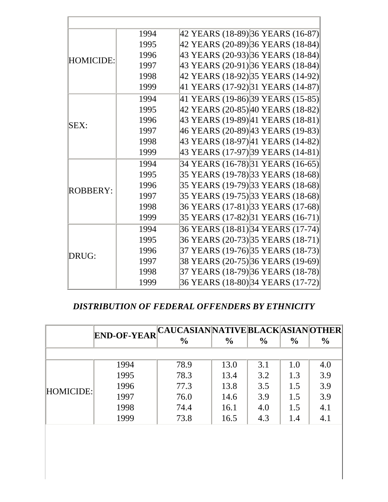|                  | 1994 | 42 YEARS (18-89) 36 YEARS (16-87) |
|------------------|------|-----------------------------------|
|                  | 1995 | 42 YEARS (20-89) 36 YEARS (18-84) |
| <b>HOMICIDE:</b> | 1996 | 43 YEARS (20-93) 36 YEARS (18-84) |
|                  | 1997 | 43 YEARS (20-91) 36 YEARS (18-84) |
|                  | 1998 | 42 YEARS (18-92) 35 YEARS (14-92) |
|                  | 1999 | 41 YEARS (17-92) 31 YEARS (14-87) |
|                  | 1994 | 41 YEARS (19-86) 39 YEARS (15-85) |
|                  | 1995 | 42 YEARS (20-85) 40 YEARS (18-82) |
| SEX:             | 1996 | 43 YEARS (19-89) 41 YEARS (18-81) |
|                  | 1997 | 46 YEARS (20-89) 43 YEARS (19-83) |
|                  | 1998 | 43 YEARS (18-97) 41 YEARS (14-82) |
|                  | 1999 | 43 YEARS (17-97) 39 YEARS (14-81) |
|                  | 1994 | 34 YEARS (16-78) 31 YEARS (16-65) |
|                  | 1995 | 35 YEARS (19-78) 33 YEARS (18-68) |
| <b>ROBBERY:</b>  | 1996 | 35 YEARS (19-79) 33 YEARS (18-68) |
|                  | 1997 | 35 YEARS (19-75) 33 YEARS (18-68) |
|                  | 1998 | 36 YEARS (17-81) 33 YEARS (17-68) |
|                  | 1999 | 35 YEARS (17-82) 31 YEARS (16-71) |
|                  | 1994 | 36 YEARS (18-81) 34 YEARS (17-74) |
|                  | 1995 | 36 YEARS (20-73) 35 YEARS (18-71) |
| DRUG:            | 1996 | 37 YEARS (19-76) 35 YEARS (18-73) |
|                  | 1997 | 38 YEARS (20-75) 36 YEARS (19-69) |
|                  | 1998 | 37 YEARS (18-79) 36 YEARS (18-78) |
|                  | 1999 | 36 YEARS (18-80) 34 YEARS (17-72) |

#### *DISTRIBUTION OF FEDERAL OFFENDERS BY ETHNICITY*

|           | <b>END-OF-YEAR</b> | CAUCASIANNATIVEBLACKASIANOTHER |               |               |               |               |
|-----------|--------------------|--------------------------------|---------------|---------------|---------------|---------------|
|           |                    | $\frac{0}{0}$                  | $\frac{6}{6}$ | $\frac{0}{0}$ | $\frac{0}{0}$ | $\frac{0}{0}$ |
|           |                    |                                |               |               |               |               |
|           | 1994               | 78.9                           | 13.0          | 3.1           | 1.0           | 4.0           |
|           | 1995               | 78.3                           | 13.4          | 3.2           | 1.3           | 3.9           |
|           | 1996               | 77.3                           | 13.8          | 3.5           | 1.5           | 3.9           |
| HOMICIDE: | 1997               | 76.0                           | 14.6          | 3.9           | 1.5           | 3.9           |
|           | 1998               | 74.4                           | 16.1          | 4.0           | 1.5           | 4.1           |
|           | 1999               | 73.8                           | 16.5          | 4.3           | 1.4           | 4.1           |
|           |                    |                                |               |               |               |               |
|           |                    |                                |               |               |               |               |
|           |                    |                                |               |               |               |               |
|           |                    |                                |               |               |               |               |